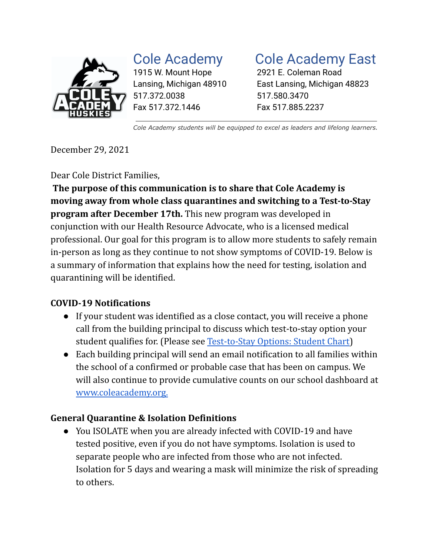

1915 W. Mount Hope 2921 E. Coleman Road 517.372.0038 517.580.3470 Fax 517.372.1446 Fax 517.885.2237

# Cole Academy Cole Academy East

Lansing, Michigan 48910 East Lansing, Michigan 48823

*Cole Academy students will be equipped to excel as leaders and lifelong learners.*

December 29, 2021

Dear Cole District Families,

**The purpose of this communication is to share that Cole Academy is moving away from whole class quarantines and switching to a Test-to-Stay program after December 17th.** This new program was developed in conjunction with our Health Resource Advocate, who is a licensed medical professional. Our goal for this program is to allow more students to safely remain in-person as long as they continue to not show symptoms of COVID-19. Below is a summary of information that explains how the need for testing, isolation and quarantining will be identified.

## **COVID-19 Notifications**

- If your student was identified as a close contact, you will receive a phone call from the building principal to discuss which test-to-stay option your student qualifies for. (Please see [Test-to-Stay Options:](https://docs.google.com/document/d/1qYdvwijfVfnTV8Yr0xrW3r8aw3nNfoShU35TPWOufQQ/edit?usp=sharing) Student Chart)
- Each building principal will send an email notification to all families within the school of a confirmed or probable case that has been on campus. We will also continue to provide cumulative counts on our school dashboard at [www.coleacademy.org.](http://www.coleacademy.org.)

## **General Quarantine & Isolation Definitions**

● You ISOLATE when you are already infected with COVID-19 and have tested positive, even if you do not have symptoms. Isolation is used to separate people who are infected from those who are not infected. Isolation for 5 days and wearing a mask will minimize the risk of spreading to others.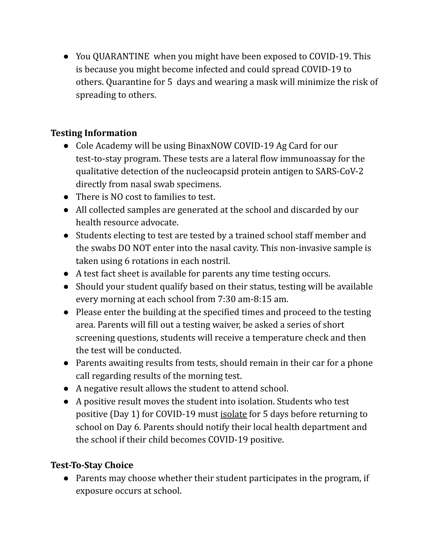● You QUARANTINE when you might have been exposed to COVID-19. This is because you might become infected and could spread COVID-19 to others. Quarantine for 5 days and wearing a mask will minimize the risk of spreading to others.

### **Testing Information**

- Cole Academy will be using BinaxNOW COVID-19 Ag Card for our test-to-stay program. These tests are a lateral flow immunoassay for the qualitative detection of the nucleocapsid protein antigen to SARS-CoV-2 directly from nasal swab specimens.
- There is NO cost to families to test.
- All collected samples are generated at the school and discarded by our health resource advocate.
- Students electing to test are tested by a trained school staff member and the swabs DO NOT enter into the nasal cavity. This non-invasive sample is taken using 6 rotations in each nostril.
- A test fact sheet is available for parents any time testing occurs.
- Should your student qualify based on their status, testing will be available every morning at each school from 7:30 am-8:15 am.
- Please enter the building at the specified times and proceed to the testing area. Parents will fill out a testing waiver, be asked a series of short screening questions, students will receive a temperature check and then the test will be conducted.
- Parents awaiting results from tests, should remain in their car for a phone call regarding results of the morning test.
- A negative result allows the student to attend school.
- A positive result moves the student into isolation. Students who test positive (Day 1) for COVID-19 must isolate for 5 days before returning to school on Day 6. Parents should notify their local health department and the school if their child becomes COVID-19 positive.

## **Test-To-Stay Choice**

● Parents may choose whether their student participates in the program, if exposure occurs at school.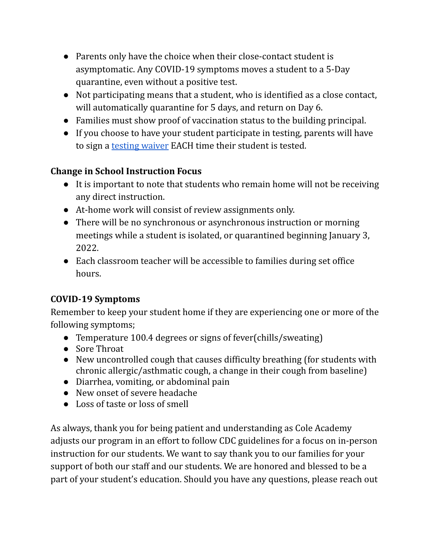- Parents only have the choice when their close-contact student is asymptomatic. Any COVID-19 symptoms moves a student to a 5-Day quarantine, even without a positive test.
- Not participating means that a student, who is identified as a close contact, will automatically quarantine for 5 days, and return on Day 6.
- Families must show proof of vaccination status to the building principal.
- If you choose to have your student participate in testing, parents will have to sign a [testing waiver](https://docs.google.com/document/d/1f9FILd3D_1MrdrGRgW4Losxv7DMxYb3789M4J1F-a7o/edit?usp=sharing) EACH time their student is tested.

#### **Change in School Instruction Focus**

- It is important to note that students who remain home will not be receiving any direct instruction.
- At-home work will consist of review assignments only.
- There will be no synchronous or asynchronous instruction or morning meetings while a student is isolated, or quarantined beginning January 3, 2022.
- Each classroom teacher will be accessible to families during set office hours.

## **COVID-19 Symptoms**

Remember to keep your student home if they are experiencing one or more of the following symptoms;

- Temperature 100.4 degrees or signs of fever(chills/sweating)
- Sore Throat
- New uncontrolled cough that causes difficulty breathing (for students with chronic allergic/asthmatic cough, a change in their cough from baseline)
- Diarrhea, vomiting, or abdominal pain
- New onset of severe headache
- Loss of taste or loss of smell

As always, thank you for being patient and understanding as Cole Academy adjusts our program in an effort to follow CDC guidelines for a focus on in-person instruction for our students. We want to say thank you to our families for your support of both our staff and our students. We are honored and blessed to be a part of your student's education. Should you have any questions, please reach out